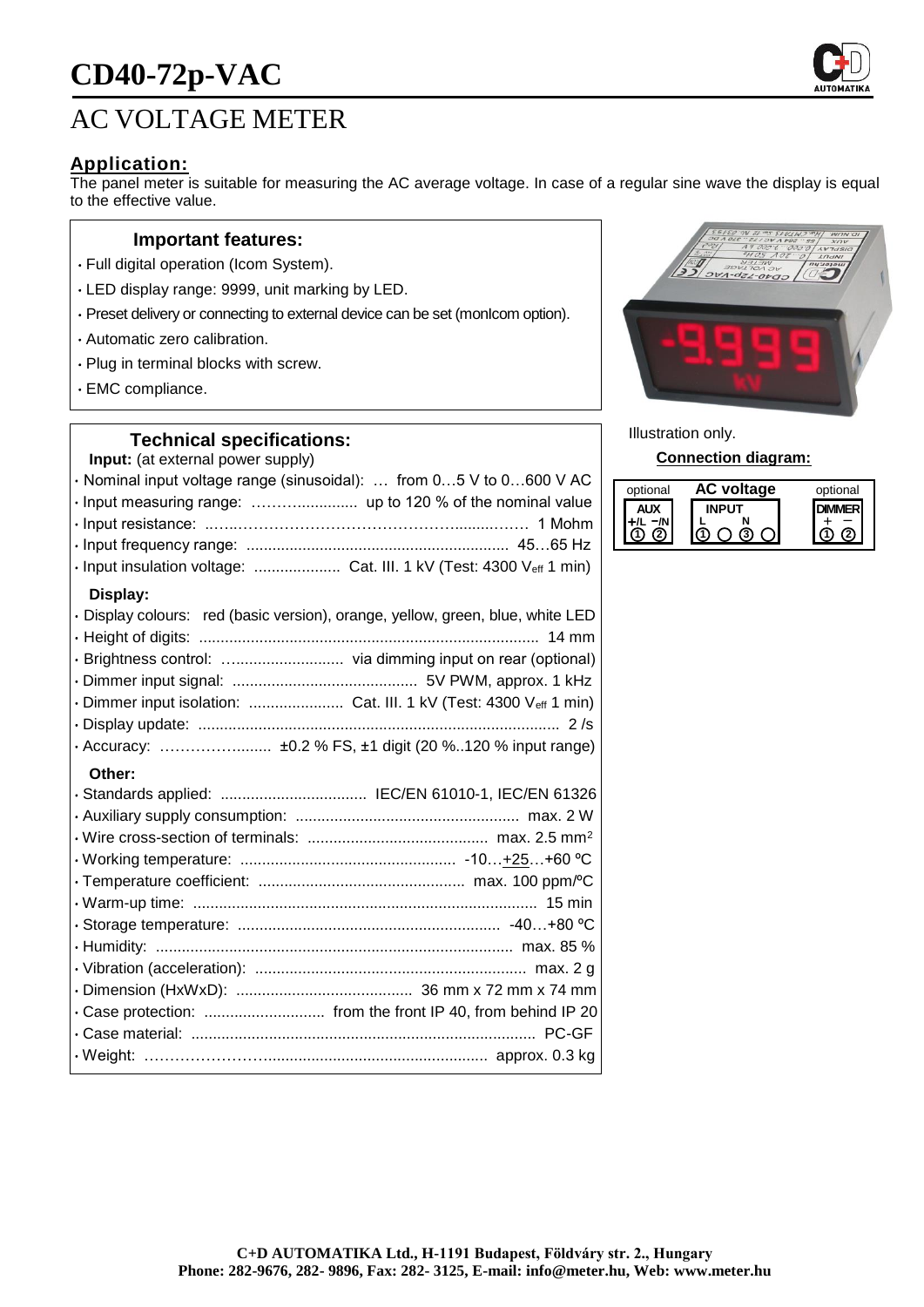# **CD40-72p-VAC**

# AC VOLTAGE METER

## **Application:**

The panel meter is suitable for measuring the AC average voltage. In case of a regular sine wave the display is equal to the effective value.

#### **Important features:**

- Full digital operation (Icom System).
- LED display range: 9999, unit marking by LED.
- Preset delivery or connecting to external device can be set (monIcom option).
- Automatic zero calibration.
- Plug in terminal blocks with screw.
- EMC compliance.

#### **Technical specifications:**

**Input:** (at external power supply)

| · Nominal input voltage range (sinusoidal):  from 05 V to 0600 V AC            |  |
|--------------------------------------------------------------------------------|--|
|                                                                                |  |
|                                                                                |  |
|                                                                                |  |
| · Input insulation voltage:  Cat. III. 1 kV (Test: 4300 Veff 1 min)            |  |
| Display:                                                                       |  |
| · Display colours: red (basic version), orange, yellow, green, blue, white LED |  |
|                                                                                |  |
|                                                                                |  |
|                                                                                |  |
| · Dimmer input isolation:  Cat. III. 1 kV (Test: 4300 Veff 1 min)              |  |
|                                                                                |  |
|                                                                                |  |
|                                                                                |  |

#### **Other:**

| · Standards applied:  IEC/EN 61010-1, IEC/EN 61326          |  |
|-------------------------------------------------------------|--|
|                                                             |  |
|                                                             |  |
|                                                             |  |
|                                                             |  |
|                                                             |  |
|                                                             |  |
|                                                             |  |
|                                                             |  |
|                                                             |  |
| . Case protection:  from the front IP 40, from behind IP 20 |  |
|                                                             |  |
|                                                             |  |



Illustration only.

**Connection diagram:**

| optional | AC voltage | optional |
|----------|------------|----------|
|          |            |          |